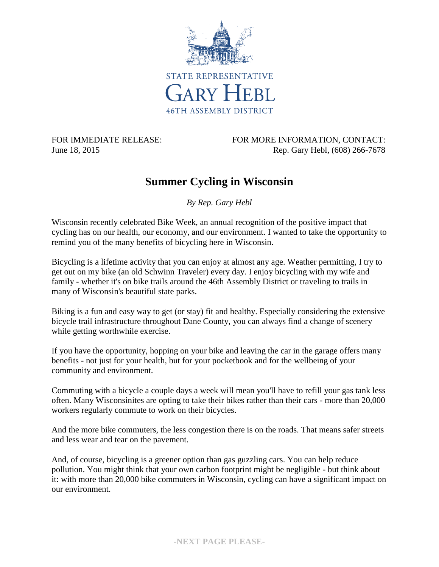

FOR IMMEDIATE RELEASE: FOR MORE INFORMATION, CONTACT: June 18, 2015 **Rep. Gary Hebl, (608) 266-7678** 

## **Summer Cycling in Wisconsin**

*By Rep. Gary Hebl*

Wisconsin recently celebrated Bike Week, an annual recognition of the positive impact that cycling has on our health, our economy, and our environment. I wanted to take the opportunity to remind you of the many benefits of bicycling here in Wisconsin.

Bicycling is a lifetime activity that you can enjoy at almost any age. Weather permitting, I try to get out on my bike (an old Schwinn Traveler) every day. I enjoy bicycling with my wife and family - whether it's on bike trails around the 46th Assembly District or traveling to trails in many of Wisconsin's beautiful state parks.

Biking is a fun and easy way to get (or stay) fit and healthy. Especially considering the extensive bicycle trail infrastructure throughout Dane County, you can always find a change of scenery while getting worthwhile exercise.

If you have the opportunity, hopping on your bike and leaving the car in the garage offers many benefits - not just for your health, but for your pocketbook and for the wellbeing of your community and environment.

Commuting with a bicycle a couple days a week will mean you'll have to refill your gas tank less often. Many Wisconsinites are opting to take their bikes rather than their cars - more than 20,000 workers regularly commute to work on their bicycles.

And the more bike commuters, the less congestion there is on the roads. That means safer streets and less wear and tear on the pavement.

And, of course, bicycling is a greener option than gas guzzling cars. You can help reduce pollution. You might think that your own carbon footprint might be negligible - but think about it: with more than 20,000 bike commuters in Wisconsin, cycling can have a significant impact on our environment.